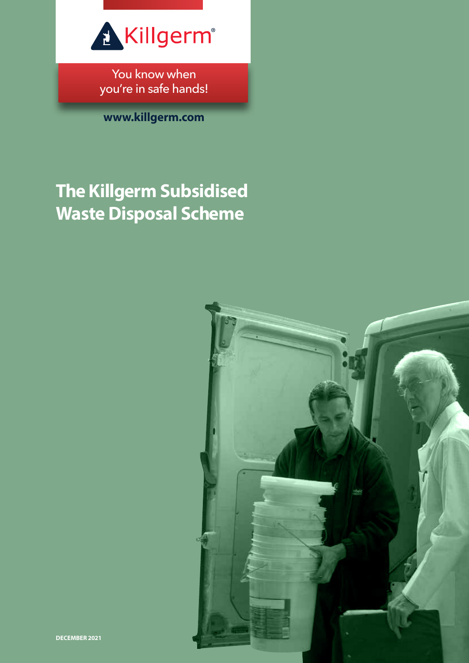

You know when you're in safe hands!

**www.killgerm.com**

# **The Killgerm Subsidised Waste Disposal Scheme**

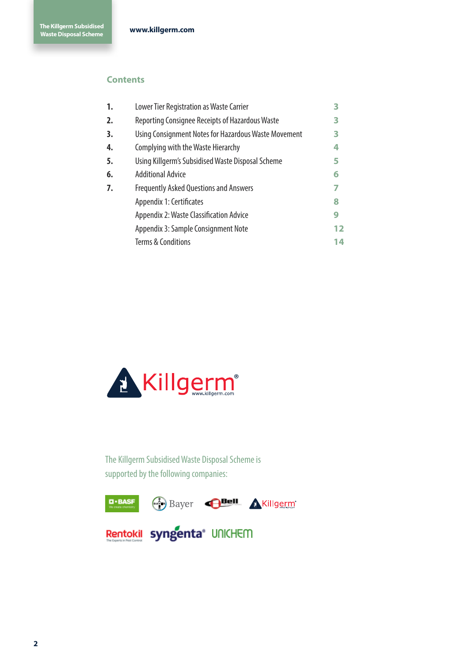## **Contents**

| 1. | Lower Tier Registration as Waste Carrier             | 3  |
|----|------------------------------------------------------|----|
| 2. | Reporting Consignee Receipts of Hazardous Waste      | 3  |
| 3. | Using Consignment Notes for Hazardous Waste Movement | 3  |
| 4. | Complying with the Waste Hierarchy                   | 4  |
| 5. | Using Killgerm's Subsidised Waste Disposal Scheme    | 5  |
| 6. | <b>Additional Advice</b>                             | 6  |
| 7. | <b>Frequently Asked Questions and Answers</b>        | 7  |
|    | Appendix 1: Certificates                             | 8  |
|    | <b>Appendix 2: Waste Classification Advice</b>       | 9  |
|    | Appendix 3: Sample Consignment Note                  | 12 |
|    | <b>Terms &amp; Conditions</b>                        | 14 |
|    |                                                      |    |



The Killgerm Subsidised Waste Disposal Scheme is supported by the following companies:

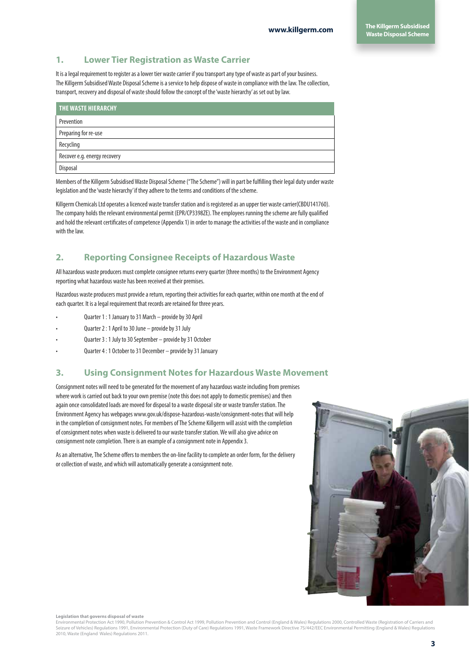## **1. Lower Tier Registration as Waste Carrier**

It is a legal requirement to register as a lower tier waste carrier if you transport any type of waste as part of your business. The Killgerm Subsidised Waste Disposal Scheme is a service to help dispose of waste in compliance with the law. The collection, transport, recovery and disposal of waste should follow the concept of the 'waste hierarchy' as set out by law.

| <b>THE WASTE HIERARCHY</b>   |
|------------------------------|
| Prevention                   |
| Preparing for re-use         |
| Recycling                    |
| Recover e.g. energy recovery |
| Disposal                     |

Members of the Killgerm Subsidised Waste Disposal Scheme ("The Scheme") will in part be fulfilling their legal duty under waste legislation and the 'waste hierarchy' if they adhere to the terms and conditions of the scheme.

Killgerm Chemicals Ltd operates a licenced waste transfer station and is registered as an upper tier waste carrier(CBDU141760). The company holds the relevant environmental permit (EPR/CP3398ZE). The employees running the scheme are fully qualified and hold the relevant certificates of competence (Appendix 1) in order to manage the activities of the waste and in compliance with the law.

## **2. Reporting Consignee Receipts of Hazardous Waste**

All hazardous waste producers must complete consignee returns every quarter (three months) to the Environment Agency reporting what hazardous waste has been received at their premises.

Hazardous waste producers must provide a return, reporting their activities for each quarter, within one month at the end of each quarter. It is a legal requirement that records are retained for three years.

- Quarter 1 : 1 January to 31 March provide by 30 April
- Quarter 2 : 1 April to 30 June provide by 31 July
- Quarter 3 : 1 July to 30 September provide by 31 October
- Quarter 4 : 1 October to 31 December provide by 31 January

## **3. Using Consignment Notes for Hazardous Waste Movement**

Consignment notes will need to be generated for the movement of any hazardous waste including from premises where work is carried out back to your own premise (note this does not apply to domestic premises) and then again once consolidated loads are moved for disposal to a waste disposal site or waste transfer station. The Environment Agency has webpages www.gov.uk/dispose-hazardous-waste/consignment-notes that will help in the completion of consignment notes. For members of The Scheme Killgerm will assist with the completion of consignment notes when waste is delivered to our waste transfer station. We will also give advice on consignment note completion. There is an example of a consignment note in Appendix 3.

As an alternative, The Scheme offers to members the on-line facility to complete an order form, for the delivery or collection of waste, and which will automatically generate a consignment note.



#### **Legislation that governs disposal of waste**

Environmental Protection Act 1990, Pollution Prevention & Control Act 1999, Pollution Prevention and Control (England & Wales) Regulations 2000, Controlled Waste (Registration of Carriers and Seizure of Vehicles) Regulations 1991, Environmental Protection (Duty of Care) Regulations 1991, Waste Framework Directive 75/442/EEC Environmental Permitting (England & Wales) Regulations 2010, Waste (England Wales) Regulations 2011.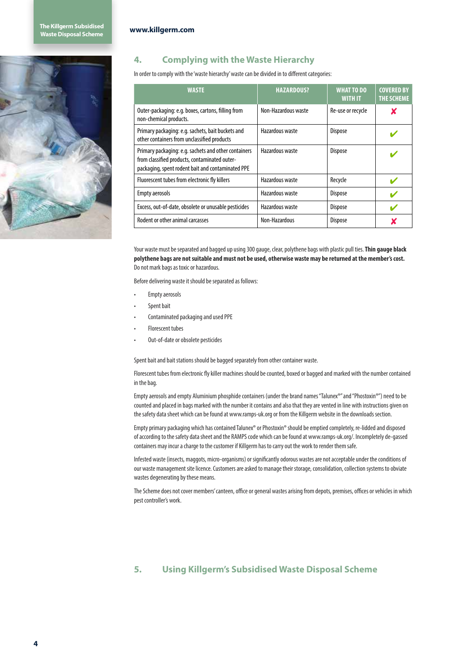

## **4. Complying with the Waste Hierarchy**

In order to comply with the 'waste hierarchy' waste can be divided in to different categories:

| <b>WASTE</b>                                                                                                                                               | <b>HAZARDOUS?</b>   | <b>WHAT TO DO</b><br><b>WITH IT</b> | <b>COVERED BY</b><br><b>THE SCHEME</b> |
|------------------------------------------------------------------------------------------------------------------------------------------------------------|---------------------|-------------------------------------|----------------------------------------|
| Outer-packaging: e.g. boxes, cartons, filling from<br>non-chemical products.                                                                               | Non-Hazardous waste | Re-use or recycle                   | x                                      |
| Primary packaging: e.g. sachets, bait buckets and<br>other containers from unclassified products                                                           | Hazardous waste     | <b>Dispose</b>                      |                                        |
| Primary packaging: e.g. sachets and other containers<br>from classified products, contaminated outer-<br>packaging, spent rodent bait and contaminated PPE | Hazardous waste     | <b>Dispose</b>                      |                                        |
| Fluorescent tubes from electronic fly killers                                                                                                              | Hazardous waste     | Recycle                             |                                        |
| <b>Empty aerosols</b>                                                                                                                                      | Hazardous waste     | <b>Dispose</b>                      |                                        |
| Excess, out-of-date, obsolete or unusable pesticides                                                                                                       | Hazardous waste     | <b>Dispose</b>                      |                                        |
| Rodent or other animal carcasses                                                                                                                           | Non-Hazardous       | <b>Dispose</b>                      |                                        |

Your waste must be separated and bagged up using 300 gauge, clear, polythene bags with plastic pull ties. **Thin gauge black polythene bags are not suitable and must not be used, otherwise waste may be returned at the member's cost.** Do not mark bags as toxic or hazardous.

Before delivering waste it should be separated as follows:

- Empty aerosols
- Spent bait
- Contaminated packaging and used PPE
- Florescent tubes
- Out-of-date or obsolete pesticides

Spent bait and bait stations should be bagged separately from other container waste.

Florescent tubes from electronic fly killer machines should be counted, boxed or bagged and marked with the number contained in the bag.

Empty aerosols and empty Aluminium phosphide containers (under the brand names "Talunex®" and "Phostoxin®") need to be counted and placed in bags marked with the number it contains and also that they are vented in line with instructions given on the safety data sheet which can be found at www.ramps-uk.org or from the Killgerm website in the downloads section.

Empty primary packaging which has contained Talunex® or Phostoxin® should be emptied completely, re-lidded and disposed of according to the safety data sheet and the RAMPS code which can be found at www.ramps-uk.org/. Incompletely de-gassed containers may incur a charge to the customer if Killgerm has to carry out the work to render them safe.

Infested waste (insects, maggots, micro-organisms) or significantly odorous wastes are not acceptable under the conditions of our waste management site licence. Customers are asked to manage their storage, consolidation, collection systems to obviate wastes degenerating by these means.

The Scheme does not cover members' canteen, office or general wastes arising from depots, premises, offices or vehicles in which pest controller's work.

## **5. Using Killgerm's Subsidised Waste Disposal Scheme**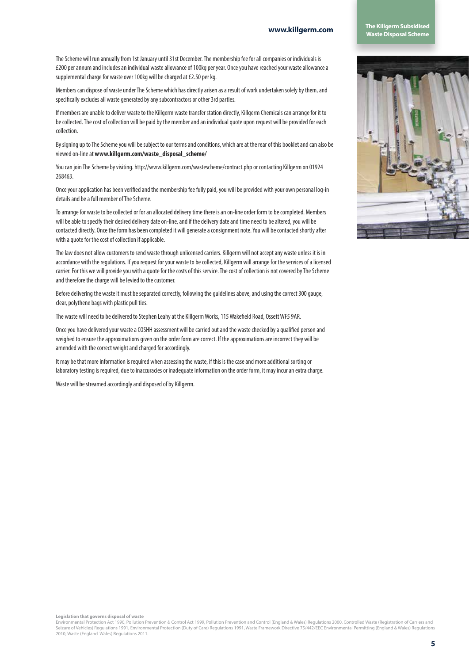**www.killgerm.com The Killgerm Subsidised Waste Disposal Scheme**

The Scheme will run annually from 1st January until 31st December. The membership fee for all companies or individuals is £200 per annum and includes an individual waste allowance of 100kg per year. Once you have reached your waste allowance a supplemental charge for waste over 100kg will be charged at £2.50 per kg.

Members can dispose of waste under The Scheme which has directly arisen as a result of work undertaken solely by them, and specifically excludes all waste generated by any subcontractors or other 3rd parties.

If members are unable to deliver waste to the Killgerm waste transfer station directly, Killgerm Chemicals can arrange for it to be collected. The cost of collection will be paid by the member and an individual quote upon request will be provided for each collection.

By signing up to The Scheme you will be subject to our terms and conditions, which are at the rear of this booklet and can also be viewed on-line at **www.killgerm.com/waste\_disposal\_scheme/**

You can join The Scheme by visiting. http://www.killgerm.com/wastescheme/contract.php or contacting Killgerm on 01924 268463.

Once your application has been verified and the membership fee fully paid, you will be provided with your own personal log-in details and be a full member of The Scheme.

To arrange for waste to be collected or for an allocated delivery time there is an on-line order form to be completed. Members will be able to specify their desired delivery date on-line, and if the delivery date and time need to be altered, you will be contacted directly. Once the form has been completed it will generate a consignment note. You will be contacted shortly after with a quote for the cost of collection if applicable.

The law does not allow customers to send waste through unlicensed carriers. Killgerm will not accept any waste unless it is in accordance with the regulations. If you request for your waste to be collected, Killgerm will arrange for the services of a licensed carrier. For this we will provide you with a quote for the costs of this service. The cost of collection is not covered by The Scheme and therefore the charge will be levied to the customer.

Before delivering the waste it must be separated correctly, following the guidelines above, and using the correct 300 gauge, clear, polythene bags with plastic pull ties.

The waste will need to be delivered to Stephen Leahy at the Killgerm Works, 115 Wakefield Road, Ossett WF5 9AR.

Once you have delivered your waste a COSHH assessment will be carried out and the waste checked by a qualified person and weighed to ensure the approximations given on the order form are correct. If the approximations are incorrect they will be amended with the correct weight and charged for accordingly.

It may be that more information is required when assessing the waste, if this is the case and more additional sorting or laboratory testing is required, due to inaccuracies or inadequate information on the order form, it may incur an extra charge.

Waste will be streamed accordingly and disposed of by Killgerm.



**Legislation that governs disposal of waste** 

Environmental Protection Act 1990, Pollution Prevention & Control Act 1999, Pollution Prevention and Control (England & Wales) Regulations 2000, Controlled Waste (Registration of Carriers and<br>Seizure of Vehicles) Regulatio 2010, Waste (England Wales) Regulations 2011.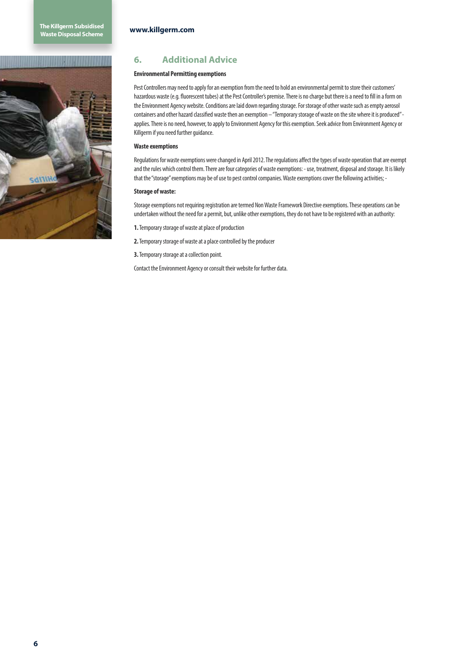## **6. Additional Advice**

## **Environmental Permitting exemptions**

Pest Controllers may need to apply for an exemption from the need to hold an environmental permit to store their customers' hazardous waste (e.g. fluorescent tubes) at the Pest Controller's premise. There is no charge but there is a need to fill in a form on the Environment Agency website. Conditions are laid down regarding storage. For storage of other waste such as empty aerosol containers and other hazard classified waste then an exemption – "Temporary storage of waste on the site where it is produced" applies. There is no need, however, to apply to Environment Agency for this exemption. Seek advice from Environment Agency or Killgerm if you need further guidance.

## **Waste exemptions**

Regulations for waste exemptions were changed in April 2012. The regulations affect the types of waste operation that are exempt and the rules which control them. There are four categories of waste exemptions: - use, treatment, disposal and storage. It is likely that the "storage" exemptions may be of use to pest control companies. Waste exemptions cover the following activities; -

### **Storage of waste:**

Storage exemptions not requiring registration are termed Non Waste Framework Directive exemptions. These operations can be undertaken without the need for a permit, but, unlike other exemptions, they do not have to be registered with an authority:

**1.** Temporary storage of waste at place of production

**2.** Temporary storage of waste at a place controlled by the producer

**3.** Temporary storage at a collection point.

Contact the Environment Agency or consult their website for further data.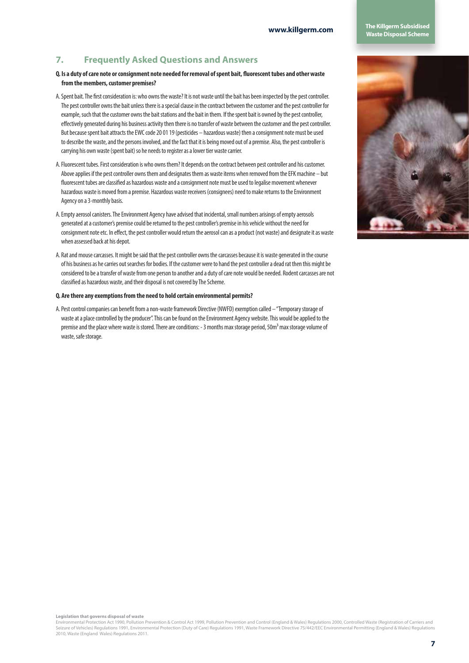## **www.killgerm.com The Killgerm Subsidised Waste Disposal Scheme**

## **7. Frequently Asked Questions and Answers**

- **Q. Is a duty of care note or consignment note needed for removal of spent bait, fluorescent tubes and other waste from the members, customer premises?**
- A. Spent bait. The first consideration is: who owns the waste? It is not waste until the bait has been inspected by the pest controller. The pest controller owns the bait unless there is a special clause in the contract between the customer and the pest controller for example, such that the customer owns the bait stations and the bait in them. If the spent bait is owned by the pest controller, effectively generated during his business activity then there is no transfer of waste between the customer and the pest controller. But because spent bait attracts the EWC code 20 01 19 (pesticides – hazardous waste) then a consignment note must be used to describe the waste, and the persons involved, and the fact that it is being moved out of a premise. Also, the pest controller is carrying his own waste (spent bait) so he needs to register as a lower tier waste carrier.
- A. Fluorescent tubes. First consideration is who owns them? It depends on the contract between pest controller and his customer. Above applies if the pest controller owns them and designates them as waste items when removed from the EFK machine – but fluorescent tubes are classified as hazardous waste and a consignment note must be used to legalise movement whenever hazardous waste is moved from a premise. Hazardous waste receivers (consignees) need to make returns to the Environment Agency on a 3-monthly basis.
- A. Empty aerosol canisters. The Environment Agency have advised that incidental, small numbers arisings of empty aerosols generated at a customer's premise could be returned to the pest controller's premise in his vehicle without the need for consignment note etc. In effect, the pest controller would return the aerosol can as a product (not waste) and designate it as waste when assessed back at his depot.
- A. Rat and mouse carcasses. It might be said that the pest controller owns the carcasses because it is waste generated in the course of his business as he carries out searches for bodies. If the customer were to hand the pest controller a dead rat then this might be considered to be a transfer of waste from one person to another and a duty of care note would be needed. Rodent carcasses are not classified as hazardous waste, and their disposal is not covered by The Scheme.

### **Q. Are there any exemptions from the need to hold certain environmental permits?**

A. Pest control companies can benefit from a non-waste framework Directive (NWFD) exemption called – "Temporary storage of waste at a place controlled by the producer". This can be found on the Environment Agency website. This would be applied to the premise and the place where waste is stored. There are conditions: - 3 months max storage period, 50m<sup>3</sup> max storage volume of waste, safe storage.



**Legislation that governs disposal of waste** 

Environmental Protection Act 1990, Pollution Prevention & Control Act 1999, Pollution Prevention and Control (England & Wales) Regulations 2000, Controlled Waste (Registration of Carriers and Seizure of Vehicles) Regulations 1991, Environmental Protection (Duty of Care) Regulations 1991, Waste Framework Directive 75/442/EEC Environmental Permitting (England & Wales) Regulations 2010, Waste (England Wales) Regulations 2011.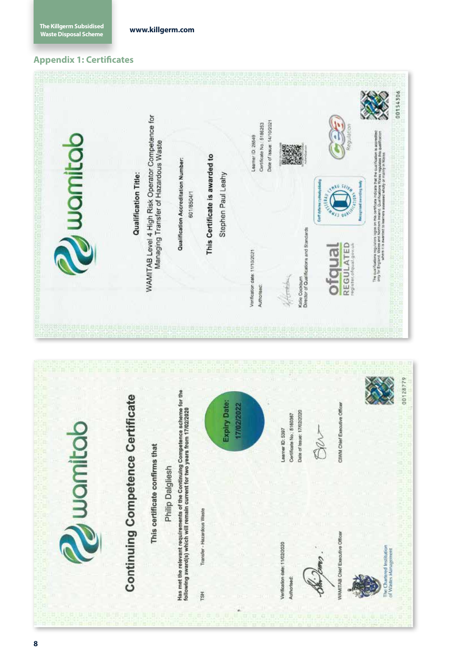## **Appendix 1: Certificates**

| Juanitab | WAMITAB Level 4 High Risk Operator Competence for<br>Managing Transfer of Hazardous Waste<br>Qualification Title: | Qualification Accreditation Number:<br>601/8504/1                                                                                                           | This Certificate is awarded to<br>Stephen Paul Leahy                   | Date of Issue: 14/10/2021<br>Certificate No: 5186253<br>Learner ID 28549<br>Verification date: 11/10/2021<br>Authorised: | 00154306<br>Regulation<br>The quantizations impurished upon layer on this usefficiency indicates that the qualification is accredited.<br>Carly for Explaint in a market to make the statement of the state of the state of the state of the state of th<br>Ca<br>Seq body<br>531p<br><b>ALLES</b><br><b>Cort dytarne cyte</b><br>Katie Cockburn<br>Director of Qualifications and Standards<br><b>REGULATED</b><br>Jisupic<br>register.ofqual.gov.uk<br>orea |
|----------|-------------------------------------------------------------------------------------------------------------------|-------------------------------------------------------------------------------------------------------------------------------------------------------------|------------------------------------------------------------------------|--------------------------------------------------------------------------------------------------------------------------|---------------------------------------------------------------------------------------------------------------------------------------------------------------------------------------------------------------------------------------------------------------------------------------------------------------------------------------------------------------------------------------------------------------------------------------------------------------|
| uuamitab | <b>Continuing Competence Certificate</b><br>This certificate confirms that<br>Philip Dalgliesh                    | Has met the relevant requirements of the Continuing Competence scheme for the<br>following award(s) which will remain current for two years from 17/02/2020 | <b>Expiry Date:</b><br>17/02/2022<br>Transfer - Hazardous Waste<br>TSH |                                                                                                                          | 00128779<br>CIWM Chief Executive Officer<br>Date of Issue: 17/02/2020<br>Certificate No.: 5160367<br>Learner ID: 5397<br>WAMITAB Chief Executive Officer<br>Verification date; 11/02/2020<br>The Chartered Institution<br>of Wastes Management<br>Authorised:                                                                                                                                                                                                 |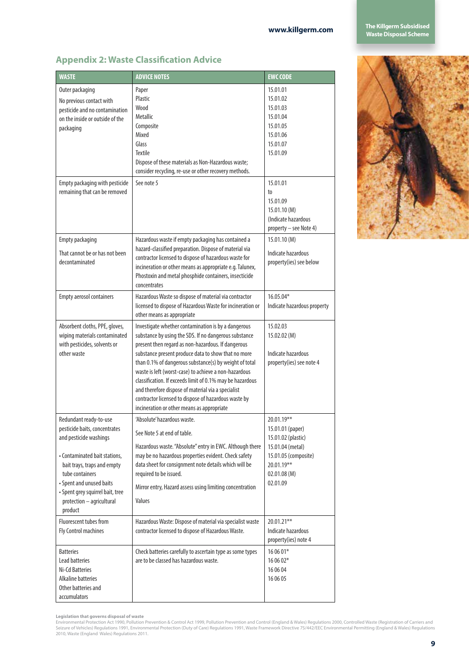| <b>WASTE</b>                                                                                                                                                                                                                                                                 | <b>ADVICE NOTES</b>                                                                                                                                                                                                                                                                                                                                                                                                                                                                                                                                                   | <b>EWC CODE</b>                                                                                                                           |
|------------------------------------------------------------------------------------------------------------------------------------------------------------------------------------------------------------------------------------------------------------------------------|-----------------------------------------------------------------------------------------------------------------------------------------------------------------------------------------------------------------------------------------------------------------------------------------------------------------------------------------------------------------------------------------------------------------------------------------------------------------------------------------------------------------------------------------------------------------------|-------------------------------------------------------------------------------------------------------------------------------------------|
| Outer packaging<br>No previous contact with<br>pesticide and no contamination<br>on the inside or outside of the<br>packaging                                                                                                                                                | Paper<br>Plastic<br>Wood<br>Metallic<br>Composite<br>Mixed<br>Glass<br><b>Textile</b><br>Dispose of these materials as Non-Hazardous waste;<br>consider recycling, re-use or other recovery methods.                                                                                                                                                                                                                                                                                                                                                                  | 15.01.01<br>15.01.02<br>15.01.03<br>15.01.04<br>15.01.05<br>15.01.06<br>15.01.07<br>15.01.09                                              |
| Empty packaging with pesticide<br>remaining that can be removed                                                                                                                                                                                                              | See note 5                                                                                                                                                                                                                                                                                                                                                                                                                                                                                                                                                            | 15.01.01<br>to<br>15.01.09<br>15.01.10 (M)<br>(Indicate hazardous<br>property - see Note 4)                                               |
| <b>Empty packaging</b><br>That cannot be or has not been<br>decontaminated                                                                                                                                                                                                   | Hazardous waste if empty packaging has contained a<br>hazard-classified preparation. Dispose of material via<br>contractor licensed to dispose of hazardous waste for<br>incineration or other means as appropriate e.g. Talunex,<br>Phostoxin and metal phosphide containers, insecticide<br>concentrates                                                                                                                                                                                                                                                            | 15.01.10 (M)<br>Indicate hazardous<br>property(ies) see below                                                                             |
| <b>Empty aerosol containers</b>                                                                                                                                                                                                                                              | Hazardous Waste so dispose of material via contractor<br>licensed to dispose of Hazardous Waste for incineration or<br>other means as appropriate                                                                                                                                                                                                                                                                                                                                                                                                                     | 16.05.04*<br>Indicate hazardous property                                                                                                  |
| Absorbent cloths, PPE, gloves,<br>wiping materials contaminated<br>with pesticides, solvents or<br>other waste                                                                                                                                                               | Investigate whether contamination is by a dangerous<br>substance by using the SDS. If no dangerous substance<br>present then regard as non-hazardous. If dangerous<br>substance present produce data to show that no more<br>than 0.1% of dangerous substance(s) by weight of total<br>waste is left (worst-case) to achieve a non-hazardous<br>classification. If exceeds limit of 0.1% may be hazardous<br>and therefore dispose of material via a specialist<br>contractor licensed to dispose of hazardous waste by<br>incineration or other means as appropriate | 15.02.03<br>15.02.02 (M)<br>Indicate hazardous<br>property(ies) see note 4                                                                |
| Redundant ready-to-use<br>pesticide baits, concentrates<br>and pesticide washings<br>• Contaminated bait stations,<br>bait trays, traps and empty<br>tube containers<br>• Spent and unused baits<br>· Spent grey squirrel bait, tree<br>protection - agricultural<br>product | 'Absolute' hazardous waste.<br>See Note 5 at end of table.<br>Hazardous waste. "Absolute" entry in EWC. Although there<br>may be no hazardous properties evident. Check safety<br>data sheet for consignment note details which will be<br>required to be issued.<br>Mirror entry, Hazard assess using limiting concentration<br>Values                                                                                                                                                                                                                               | 20.01.19**<br>15.01.01 (paper)<br>15.01.02 (plastic)<br>15.01.04 (metal)<br>15.01.05 (composite)<br>20.01.19**<br>02.01.08(M)<br>02.01.09 |
| Fluorescent tubes from<br>Fly Control machines<br><b>Batteries</b>                                                                                                                                                                                                           | Hazardous Waste: Dispose of material via specialist waste<br>contractor licensed to dispose of Hazardous Waste.<br>Check batteries carefully to ascertain type as some types                                                                                                                                                                                                                                                                                                                                                                                          | 20.01.21**<br>Indicate hazardous<br>property(ies) note 4<br>16 06 01*                                                                     |
| Lead batteries<br>Ni-Cd Batteries<br>Alkaline batteries<br>Other batteries and<br>accumulators                                                                                                                                                                               | are to be classed has hazardous waste.                                                                                                                                                                                                                                                                                                                                                                                                                                                                                                                                | 16 06 02*<br>16 06 04<br>16 06 05                                                                                                         |

## **Appendix 2: Waste Classification Advice**

**Legislation that governs disposal of waste**<br>Environmental Protection Act 1990, Pollution Prevention & Control Act 1999, Pollution Prevention and Control (England & Wales) Regulations 2000, Controlled Waste (Registration o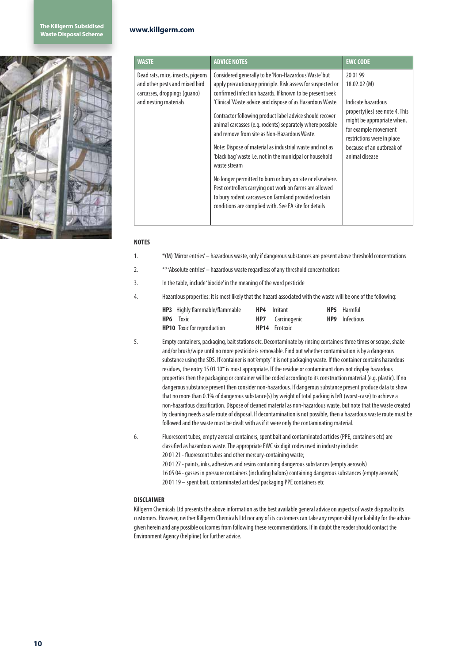

| <b>WASTE</b>                                                                                                                 | <b>ADVICE NOTES</b>                                                                                                                                                                                                                                                                                                                                                                                                                                                                                                                                                                                                                                                                                                                                                                                      | <b>EWC CODE</b>                                                                                                                                                                                                    |
|------------------------------------------------------------------------------------------------------------------------------|----------------------------------------------------------------------------------------------------------------------------------------------------------------------------------------------------------------------------------------------------------------------------------------------------------------------------------------------------------------------------------------------------------------------------------------------------------------------------------------------------------------------------------------------------------------------------------------------------------------------------------------------------------------------------------------------------------------------------------------------------------------------------------------------------------|--------------------------------------------------------------------------------------------------------------------------------------------------------------------------------------------------------------------|
| Dead rats, mice, insects, pigeons<br>and other pests and mixed bird<br>carcasses, droppings (quano)<br>and nesting materials | Considered generally to be 'Non-Hazardous Waste' but<br>apply precautionary principle. Risk assess for suspected or<br>confirmed infection hazards. If known to be present seek<br>'Clinical' Waste advice and dispose of as Hazardous Waste.<br>Contractor following product label advice should recover<br>animal carcasses (e.g. rodents) separately where possible<br>and remove from site as Non-Hazardous Waste.<br>Note: Dispose of material as industrial waste and not as<br>'black bag' waste i.e. not in the municipal or household<br>waste stream<br>No longer permitted to burn or bury on site or elsewhere.<br>Pest controllers carrying out work on farms are allowed<br>to bury rodent carcasses on farmland provided certain<br>conditions are complied with. See EA site for details | 20 01 99<br>18.02.02(M)<br>Indicate hazardous<br>property(ies) see note 4. This<br>might be appropriate when,<br>for example movement<br>restrictions were in place<br>because of an outbreak of<br>animal disease |

### **NOTES**

- 1. \*(M) 'Mirror entries' hazardous waste, only if dangerous substances are present above threshold concentrations
- 2. \*\* 'Absolute entries' hazardous waste regardless of any threshold concentrations
- 3. In the table, include 'biocide' in the meaning of the word pesticide
- 4. Hazardous properties: it is most likely that the hazard associated with the waste will be one of the following:

| <b>HP3</b> Highly flammable/flammable | <b>HP4</b> Irritant     | <b>HP5</b> Harmful    |
|---------------------------------------|-------------------------|-----------------------|
| <b>HP6</b> Toxic                      | <b>HP7</b> Carcinogenic | <b>HP9</b> Infectious |
| <b>HP10</b> Toxic for reproduction    | <b>HP14</b> Ecotoxic    |                       |

- 5. Empty containers, packaging, bait stations etc. Decontaminate by rinsing containers three times or scrape, shake and/or brush/wipe until no more pesticide is removable. Find out whether contamination is by a dangerous substance using the SDS. If container is not 'empty' it is not packaging waste. If the container contains hazardous residues, the entry 15 01 10\* is most appropriate. If the residue or contaminant does not display hazardous properties then the packaging or container will be coded according to its construction material (e.g. plastic). If no dangerous substance present then consider non-hazardous. If dangerous substance present produce data to show that no more than 0.1% of dangerous substance(s) by weight of total packing is left (worst-case) to achieve a non-hazardous classification. Dispose of cleaned material as non-hazardous waste, but note that the waste created by cleaning needs a safe route of disposal. If decontamination is not possible, then a hazardous waste route must be followed and the waste must be dealt with as if it were only the contaminating material.
- 6. Fluorescent tubes, empty aerosol containers, spent bait and contaminated articles (PPE, containers etc) are classified as hazardous waste. The appropriate EWC six digit codes used in industry include:

20 01 21 - fluorescent tubes and other mercury-containing waste;

- 20 01 27 paints, inks, adhesives and resins containing dangerous substances (empty aerosols)
- 16 05 04 gasses in pressure containers (including halons) containing dangerous substances (empty aerosols)
- 20 01 19 spent bait, contaminated articles/ packaging PPE containers etc

### **DISCLAIMER**

Killgerm Chemicals Ltd presents the above information as the best available general advice on aspects of waste disposal to its customers. However, neither Killgerm Chemicals Ltd nor any of its customers can take any responsibility or liability for the advice given herein and any possible outcomes from following these recommendations. If in doubt the reader should contact the Environment Agency (helpline) for further advice.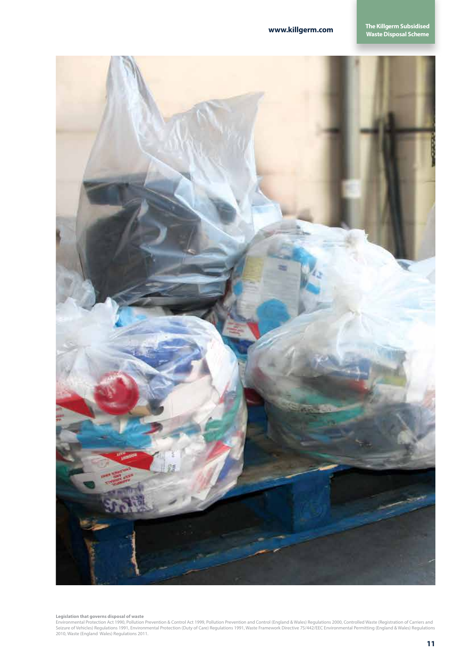

**Legislation that governs disposal of waste**<br>Environmental Protection Act 1990, Pollution Prevention & Control Act 1999, Pollution Prevention and Control (England & Wales) Regulations 2000, Controlled Waste (Registration o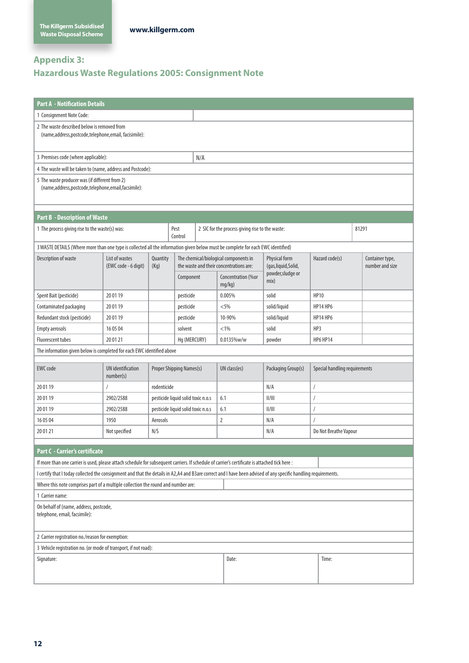## **Appendix 3:**

## **Hazardous Waste Regulations 2005: Consignment Note**

| <b>Part A - Notification Details</b>                                                                                                                                                                                                                 |                                        |                  |                                    |              |                                                                                  |                                       |                               |                       |                                    |
|------------------------------------------------------------------------------------------------------------------------------------------------------------------------------------------------------------------------------------------------------|----------------------------------------|------------------|------------------------------------|--------------|----------------------------------------------------------------------------------|---------------------------------------|-------------------------------|-----------------------|------------------------------------|
| 1 Consignment Note Code:                                                                                                                                                                                                                             |                                        |                  |                                    |              |                                                                                  |                                       |                               |                       |                                    |
| 2 The waste described below is removed from<br>(name, address, postcode, telephone, email, facisimile):                                                                                                                                              |                                        |                  |                                    |              |                                                                                  |                                       |                               |                       |                                    |
| 3 Premises code (where applicable):                                                                                                                                                                                                                  |                                        |                  |                                    | N/A          |                                                                                  |                                       |                               |                       |                                    |
| 4 The waste will be taken to (name, address and Postcode):                                                                                                                                                                                           |                                        |                  |                                    |              |                                                                                  |                                       |                               |                       |                                    |
| 5 The waste producer was (if different from 2)<br>(name,address,postcode,telephone,email,facsimile):                                                                                                                                                 |                                        |                  |                                    |              |                                                                                  |                                       |                               |                       |                                    |
| <b>Part B - Description of Waste</b>                                                                                                                                                                                                                 |                                        |                  |                                    |              |                                                                                  |                                       |                               |                       |                                    |
| 1 The process giving rise to the waste(s) was:                                                                                                                                                                                                       |                                        |                  | Pest<br>Control                    |              | 2 SIC for the process giving rise to the waste:                                  |                                       |                               | 81291                 |                                    |
| 3 WASTE DETAILS (Where more than one type is collected all the information given below must be complete for each EWC identified)                                                                                                                     |                                        |                  |                                    |              |                                                                                  |                                       |                               |                       |                                    |
| Description of waste                                                                                                                                                                                                                                 | List of wastes<br>(EWC code - 6 digit) | Quantity<br>(Kg) |                                    |              | The chemical/biological components in<br>the waste and their concentrations are: | Physical form<br>(gas, liquid, Solid, | Hazard code(s)                |                       | Container type,<br>number and size |
|                                                                                                                                                                                                                                                      |                                        |                  | Component                          |              | Concentration (%or<br>mg/kg)                                                     | powder, sludge or<br>mix)             |                               |                       |                                    |
| Spent Bait (pesticide)                                                                                                                                                                                                                               | 20 01 19                               |                  | pesticide                          |              | 0.005%                                                                           | solid                                 | <b>HP10</b>                   |                       |                                    |
| Contaminated packaging                                                                                                                                                                                                                               | 20 01 19                               |                  | pesticide                          |              | $<$ 5%                                                                           | solid/liquid                          | <b>HP14 HP6</b>               |                       |                                    |
| Redundant stock (pesticide)                                                                                                                                                                                                                          | 20 01 19                               |                  | pesticide                          |              | 10-90%                                                                           | solid/liquid                          | <b>HP14 HP6</b>               |                       |                                    |
| <b>Empty aerosols</b>                                                                                                                                                                                                                                | 16 05 04                               |                  | solvent                            |              | $< 1\%$                                                                          | solid                                 | HP3                           |                       |                                    |
| <b>Fluorescent tubes</b>                                                                                                                                                                                                                             | 20 01 21                               |                  | Hg (MERCURY)                       |              | 0.0135%w/w                                                                       | powder                                | <b>HP6 HP14</b>               |                       |                                    |
| The information given below is completed for each EWC identified above                                                                                                                                                                               |                                        |                  |                                    |              |                                                                                  |                                       |                               |                       |                                    |
| <b>UN</b> identification<br><b>EWC</b> code<br>Proper Shipping Names(s)<br>number(s)                                                                                                                                                                 |                                        |                  |                                    | UN class(es) | Packaging Group(s)                                                               |                                       | Special handling requirements |                       |                                    |
| 20 01 19                                                                                                                                                                                                                                             |                                        | rodenticide      |                                    |              |                                                                                  | N/A                                   | 1                             |                       |                                    |
| 20 01 19                                                                                                                                                                                                                                             | 2902/2588                              |                  | pesticide liquid solid toxic n.o.s |              | 6.1                                                                              | II/III                                |                               |                       |                                    |
| 20 01 19                                                                                                                                                                                                                                             | 2902/2588                              |                  | pesticide liquid solid toxic n.o.s |              | 6.1                                                                              | II/III                                |                               |                       |                                    |
| 16 05 04                                                                                                                                                                                                                                             | 1950                                   | Aerosols         |                                    |              | $\overline{2}$                                                                   | N/A                                   |                               |                       |                                    |
| 20 01 21                                                                                                                                                                                                                                             | Not specified                          | N/S              |                                    |              |                                                                                  | N/A                                   |                               | Do Not Breathe Vapour |                                    |
| Part C - Carrier's certificate                                                                                                                                                                                                                       |                                        |                  |                                    |              |                                                                                  |                                       |                               |                       |                                    |
| If more than one carrier is used, please attach schedule for subsequent carriers. If schedule of carrier's certificate is attached tick here :                                                                                                       |                                        |                  |                                    |              |                                                                                  |                                       |                               |                       |                                    |
|                                                                                                                                                                                                                                                      |                                        |                  |                                    |              |                                                                                  |                                       |                               |                       |                                    |
| I certify that I today collected the consignment and that the details in A2,A4 and B3are correct and I have been advised of any specific handling requirements.<br>Where this note comprises part of a multiple collection the round and number are: |                                        |                  |                                    |              |                                                                                  |                                       |                               |                       |                                    |
| 1 Carrier name:                                                                                                                                                                                                                                      |                                        |                  |                                    |              |                                                                                  |                                       |                               |                       |                                    |
| On behalf of (name, address, postcode,                                                                                                                                                                                                               |                                        |                  |                                    |              |                                                                                  |                                       |                               |                       |                                    |
| telephone, email, facsimile):                                                                                                                                                                                                                        |                                        |                  |                                    |              |                                                                                  |                                       |                               |                       |                                    |
| 2 Carrier registration no./reason for exemption:                                                                                                                                                                                                     |                                        |                  |                                    |              |                                                                                  |                                       |                               |                       |                                    |
| 3 Vehicle registration no. (or mode of transport, if not road):                                                                                                                                                                                      |                                        |                  |                                    |              |                                                                                  |                                       |                               |                       |                                    |
| Date:<br>Time:<br>Signature:                                                                                                                                                                                                                         |                                        |                  |                                    |              |                                                                                  |                                       |                               |                       |                                    |
|                                                                                                                                                                                                                                                      |                                        |                  |                                    |              |                                                                                  |                                       |                               |                       |                                    |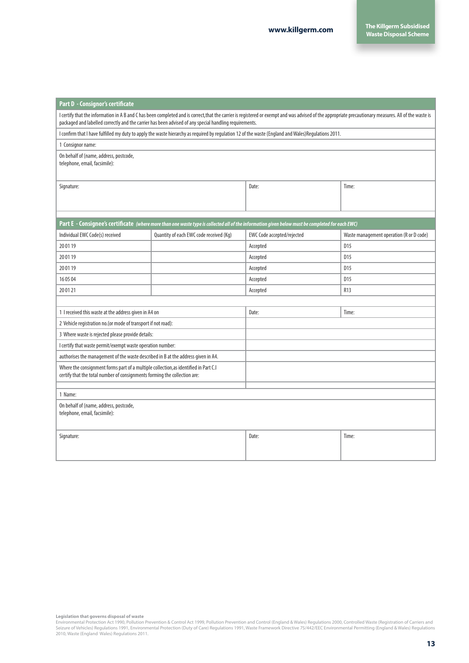| Part D - Consignor's certificate                                                                                                                                                                                                                                                                                 |                                         |                                                                                                                                                      |                                          |  |  |  |  |
|------------------------------------------------------------------------------------------------------------------------------------------------------------------------------------------------------------------------------------------------------------------------------------------------------------------|-----------------------------------------|------------------------------------------------------------------------------------------------------------------------------------------------------|------------------------------------------|--|--|--|--|
| I certify that the information in A B and C has been completed and is correct, that the carrier is registered or exempt and was advised of the appropriate precautionary measures. All of the waste is<br>packaged and labelled correctly and the carrier has been advised of any special handling requirements. |                                         |                                                                                                                                                      |                                          |  |  |  |  |
|                                                                                                                                                                                                                                                                                                                  |                                         | I confirm that I have fulfilled my duty to apply the waste hierarchy as required by requlation 12 of the waste (England and Wales) Requlations 2011. |                                          |  |  |  |  |
| 1 Consignor name:                                                                                                                                                                                                                                                                                                |                                         |                                                                                                                                                      |                                          |  |  |  |  |
| On behalf of (name, address, postcode,<br>telephone, email, facsimile):                                                                                                                                                                                                                                          |                                         |                                                                                                                                                      |                                          |  |  |  |  |
| Signature:                                                                                                                                                                                                                                                                                                       |                                         | Date:<br>Time:                                                                                                                                       |                                          |  |  |  |  |
|                                                                                                                                                                                                                                                                                                                  |                                         | Part E - Consignee's certificate (where more than one waste type is collected all of the information given below must be completed for each EWC)     |                                          |  |  |  |  |
| Individual EWC Code(s) received                                                                                                                                                                                                                                                                                  | Quantity of each EWC code received (Kg) | EWC Code accepted/rejected                                                                                                                           | Waste management operation (R or D code) |  |  |  |  |
| 20 01 19                                                                                                                                                                                                                                                                                                         |                                         | Accepted                                                                                                                                             | D <sub>15</sub>                          |  |  |  |  |
| 20 01 19                                                                                                                                                                                                                                                                                                         |                                         | Accepted                                                                                                                                             | D <sub>15</sub>                          |  |  |  |  |
| 20 01 19                                                                                                                                                                                                                                                                                                         |                                         | Accepted                                                                                                                                             | D <sub>15</sub>                          |  |  |  |  |
| 16 05 04                                                                                                                                                                                                                                                                                                         |                                         | Accepted                                                                                                                                             | D15                                      |  |  |  |  |
| 20 01 21                                                                                                                                                                                                                                                                                                         |                                         | Accepted                                                                                                                                             | R13                                      |  |  |  |  |
|                                                                                                                                                                                                                                                                                                                  |                                         |                                                                                                                                                      |                                          |  |  |  |  |
| 1 I received this waste at the address given in A4 on                                                                                                                                                                                                                                                            |                                         | Date:<br>Time:                                                                                                                                       |                                          |  |  |  |  |
| 2 Vehicle registration no. (or mode of transport if not road):                                                                                                                                                                                                                                                   |                                         |                                                                                                                                                      |                                          |  |  |  |  |
| 3 Where waste is rejected please provide details:                                                                                                                                                                                                                                                                |                                         |                                                                                                                                                      |                                          |  |  |  |  |
| I certify that waste permit/exempt waste operation number:                                                                                                                                                                                                                                                       |                                         |                                                                                                                                                      |                                          |  |  |  |  |
| authorises the management of the waste described in B at the address given in A4.                                                                                                                                                                                                                                |                                         |                                                                                                                                                      |                                          |  |  |  |  |
| Where the consignment forms part of a multiple collection, as identified in Part C.I<br>certify that the total number of consignments forming the collection are:                                                                                                                                                |                                         |                                                                                                                                                      |                                          |  |  |  |  |
|                                                                                                                                                                                                                                                                                                                  |                                         |                                                                                                                                                      |                                          |  |  |  |  |
| 1 Name:                                                                                                                                                                                                                                                                                                          |                                         |                                                                                                                                                      |                                          |  |  |  |  |
| On behalf of (name, address, postcode,<br>telephone, email, facsimile):                                                                                                                                                                                                                                          |                                         |                                                                                                                                                      |                                          |  |  |  |  |
| Signature:                                                                                                                                                                                                                                                                                                       |                                         | Date:                                                                                                                                                | Time:                                    |  |  |  |  |

**Legislation that governs disposal of waste**<br>Environmental Protection Act 1990, Pollution Prevention & Control Act 1999, Pollution Prevention and Control (England & Wales) Regulations 2000, Controlled Waste (Registration o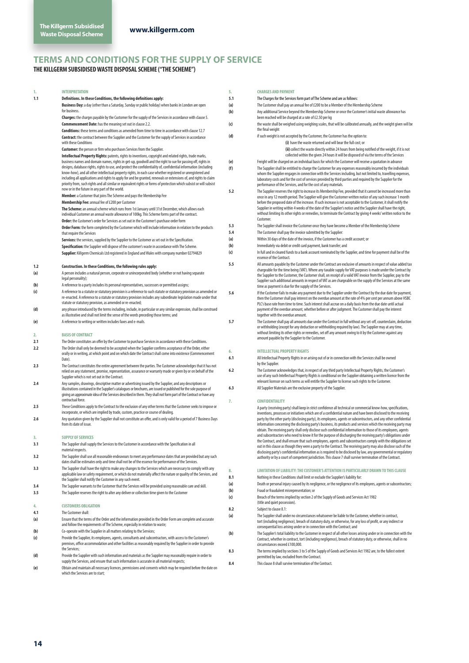## **TERMS AND CONDITIONS FOR THE SUPPLY OF SERVICE**

**THE KILLGERM SUBSIDISED WASTE DISPOSAL SCHEME ("THE SCHEME")**

| 1.  | <b>INTERPRETATION</b>                                                                                                                                                                                                                     | 5.  | <b>CHARGES AND PAYMENT</b>                                                                                                                                                                                                               |
|-----|-------------------------------------------------------------------------------------------------------------------------------------------------------------------------------------------------------------------------------------------|-----|------------------------------------------------------------------------------------------------------------------------------------------------------------------------------------------------------------------------------------------|
| 1.1 | Definitions. In these Conditions, the following definitions apply:                                                                                                                                                                        | 5.1 | The Charges for the Services form part of The Scheme and are as follows:                                                                                                                                                                 |
|     | Business Day: a day (other than a Saturday, Sunday or public holiday) when banks in London are open                                                                                                                                       | (a) | The Customer shall pay an annual fee of £200 to be a Member of the Membership Scheme                                                                                                                                                     |
|     | for business.                                                                                                                                                                                                                             | (b) | Any additional Service beyond the Membership Scheme or once the Customer's initial waste allowance has                                                                                                                                   |
|     | Charges: the charges payable by the Customer for the supply of the Services in accordance with clause 5.                                                                                                                                  |     | been reached will be charged at a rate of £2.50 per kg                                                                                                                                                                                   |
|     | <b>Commencement Date:</b> has the meaning set out in clause 2.2.                                                                                                                                                                          | (c) | the waste shall be weighed using weighing scales, that will be calibrated annually, and the weight given will be                                                                                                                         |
|     | Conditions: these terms and conditions as amended from time to time in accordance with clause 12.7                                                                                                                                        |     | the final weight                                                                                                                                                                                                                         |
|     | <b>Contract:</b> the contract between the Supplier and the Customer for the supply of Services in accordance                                                                                                                              | (d) | if such weight is not accepted by the Customer, the Customer has the option to:                                                                                                                                                          |
|     | with these Conditions                                                                                                                                                                                                                     |     | (i) have the waste returned and will bear the full cost; or                                                                                                                                                                              |
|     | Customer: the person or firm who purchases Services from the Supplier.                                                                                                                                                                    |     | (ii) collect the waste directly within 24 hours from being notified of the weight, if it is not                                                                                                                                          |
|     | Intellectual Property Rights: patents, rights to inventions, copyright and related rights, trade marks,<br>business names and domain names, rights in get-up, goodwill and the right to sue for passing off, rights in                    | (e) | collected within the given 24 hours it will be disposed of via the terms of the Services<br>Freight will be charged on an individual basis for which the Customer will receive a quotation in advance                                    |
|     | designs, database rights, rights to use, and protect the confidentiality of, confidential information (including                                                                                                                          | (f) | The Supplier shall be entitled to charge the Customer for any expenses reasonably incurred by the individuals                                                                                                                            |
|     | know-how), and all other intellectual property rights, in each case whether registered or unregistered and                                                                                                                                |     | whom the Supplier engages in connection with the Services including, but not limited to, travelling expenses,                                                                                                                            |
|     | including all applications and rights to apply for and be granted, renewals or extensions of, and rights to claim<br>priority from, such rights and all similar or equivalent rights or forms of protection which subsist or will subsist |     | laboratory costs and for the cost of services provided by third parties and required by the Supplier for the                                                                                                                             |
|     | now or in the future in any part of the world.                                                                                                                                                                                            |     | performance of the Services, and for the cost of any materials.                                                                                                                                                                          |
|     | Member: a Customer that joins The Scheme and pays the Membership Fee                                                                                                                                                                      | 5.2 | The Supplier reserves the right to increase its Membership Fee, provided that it cannot be increased more than<br>once in any 12 month period. The Supplier will give the Customer written notice of any such increase 1 month           |
|     | Membership Fee: annual fee of £200 per Customer                                                                                                                                                                                           |     | before the proposed date of the increase. If such increase is not acceptable to the Customer, it shall notify the                                                                                                                        |
|     | The Scheme: an annual scheme which runs from 1st January until 31st December, which allows each                                                                                                                                           |     | Supplier in writing within 4 weeks of the date of the Supplier's notice and the Supplier shall have the right,                                                                                                                           |
|     | individual Customer an annual waste allowance of 100kg. This Scheme forms part of the contract.                                                                                                                                           |     | without limiting its other rights or remedies, to terminate the Contract by giving 4 weeks' written notice to the<br>Customer.                                                                                                           |
|     | Order: the Customer's order for Services as set out in the Customer's purchase order form                                                                                                                                                 | 5.3 | The Supplier shall invoice the Customer once they have become a Member of the Membership Scheme                                                                                                                                          |
|     | Order Form: the form completed by the Customer which will include information in relation to the products<br>that require the Services                                                                                                    | 5.4 | The Customer shall pay the invoice submitted by the Supplier:                                                                                                                                                                            |
|     | Services: the services, supplied by the Supplier to the Customer as set out in the Specification.                                                                                                                                         | (a) | Within 30 days of the date of the invoice, if the Customer has a credit account; or                                                                                                                                                      |
|     | Specification: the Supplier will dispose of the customer's waste in accordance with The Scheme.                                                                                                                                           | (b) | Immediately via debit or credit card payment, bank transfer; and                                                                                                                                                                         |
|     | Supplier: Killgerm Chemicals Ltd registered in England and Wales with company number 02794829                                                                                                                                             | (c) | In full and in cleared funds to a bank account nominated by the Supplier, and time for payment shall be of the                                                                                                                           |
|     |                                                                                                                                                                                                                                           |     | essence of the Contract.                                                                                                                                                                                                                 |
| 1.2 | Construction. In these Conditions, the following rules apply:                                                                                                                                                                             | 5.5 | All amounts payable by the Customer under the Contract are exclusive of amounts in respect of value added tax                                                                                                                            |
| (a) | A person includes a natural person, corporate or unincorporated body (whether or not having separate                                                                                                                                      |     | chargeable for the time being (VAT). Where any taxable supply for VAT purposes is made under the Contract by<br>the Supplier to the Customer, the Customer shall, on receipt of a valid VAT invoice from the Supplier, pay to the        |
|     | legal personality);                                                                                                                                                                                                                       |     | Supplier such additional amounts in respect of VAT as are chargeable on the supply of the Services at the same                                                                                                                           |
| (b) | A reference to a party includes its personal representatives, successors or permitted assigns;                                                                                                                                            |     | time as payment is due for the supply of the Services.                                                                                                                                                                                   |
| (c) | A reference to a statute or statutory provision is a reference to such statute or statutory provision as amended or<br>re-enacted. A reference to a statute or statutory provision includes any subordinate legislation made under that   | 5.6 | If the Customer fails to make any payment due to the Supplier under the Contract by the due date for payment,                                                                                                                            |
|     | statute or statutory provision, as amended or re-enacted;                                                                                                                                                                                 |     | then the Customer shall pay interest on the overdue amount at the rate of 4% per cent per annum above HSBC<br>PLC's base rate from time to time. Such interest shall accrue on a daily basis from the due date until actual              |
| (d) | any phrase introduced by the terms including, include, in particular or any similar expression, shall be construed                                                                                                                        |     | payment of the overdue amount, whether before or after judgment. The Customer shall pay the interest                                                                                                                                     |
|     | as illustrative and shall not limit the sense of the words preceding those terms; and                                                                                                                                                     |     | together with the overdue amount.                                                                                                                                                                                                        |
| (e) | A reference to writing or written includes faxes and e-mails.                                                                                                                                                                             | 5.7 | The Customer shall pay all amounts due under the Contract in full without any set-off, counterclaim, deduction                                                                                                                           |
|     |                                                                                                                                                                                                                                           |     | or withholding (except for any deduction or withholding required by law). The Supplier may at any time,<br>without limiting its other rights or remedies, set off any amount owing to it by the Customer against any                     |
| 2.  | <b>BASIS OF CONTRACT</b>                                                                                                                                                                                                                  |     | amount payable by the Supplier to the Customer.                                                                                                                                                                                          |
| 2.1 | The Order constitutes an offer by the Customer to purchase Services in accordance with these Conditions.                                                                                                                                  |     |                                                                                                                                                                                                                                          |
| 2.2 | The Order shall only be deemed to be accepted when the Supplier confirms acceptance of the Order, either<br>orally or in writing, at which point and on which date the Contract shall come into existence (Commencement                   | 6.  | <b>INTELLECTUAL PROPERTY RIGHTS</b>                                                                                                                                                                                                      |
|     | Date).                                                                                                                                                                                                                                    | 6.1 | All Intellectual Property Rights in or arising out of or in connection with the Services shall be owned                                                                                                                                  |
| 2.3 | The Contract constitutes the entire agreement between the parties. The Customer acknowledges that it has not                                                                                                                              |     | by the Supplier.                                                                                                                                                                                                                         |
|     | relied on any statement, promise, representation, assurance or warranty made or given by or on behalf of the                                                                                                                              | 6.2 | The Customer acknowledges that, in respect of any third party Intellectual Property Rights, the Customer's<br>use of any such Intellectual Property Rights is conditional on the Supplier obtaining a written licence from the           |
|     | Supplier which is not set out in the Contract.<br>Any samples, drawings, descriptive matter or advertising issued by the Supplier, and any descriptions or                                                                                |     | relevant licensor on such terms as will entitle the Supplier to license such rights to the Customer.                                                                                                                                     |
| 2.4 | illustrations contained in the Supplier's catalogues or brochures, are issued or published for the sole purpose of                                                                                                                        | 6.3 | All Supplier Materials are the exclusive property of the Supplier.                                                                                                                                                                       |
|     | giving an approximate idea of the Services described in them. They shall not form part of the Contract or have any                                                                                                                        |     |                                                                                                                                                                                                                                          |
|     | contractual force.                                                                                                                                                                                                                        | 7.  | <b>CONFIDENTIALITY</b>                                                                                                                                                                                                                   |
| 2.5 | These Conditions apply to the Contract to the exclusion of any other terms that the Customer seeks to impose or                                                                                                                           |     | A party (receiving party) shall keep in strict confidence all technical or commercial know-how, specifications,                                                                                                                          |
| 2.6 | incorporate, or which are implied by trade, custom, practice or course of dealing.<br>Any quotation given by the Supplier shall not constitute an offer, and is only valid for a period of 7 Business Days                                |     | inventions, processes or initiatives which are of a confidential nature and have been disclosed to the receiving                                                                                                                         |
|     | from its date of issue.                                                                                                                                                                                                                   |     | party by the other party (disclosing party), its employees, agents or subcontractors, and any other confidential<br>information concerning the disclosing party's business, its products and services which the receiving party may      |
|     |                                                                                                                                                                                                                                           |     | obtain. The receiving party shall only disclose such confidential information to those of its employees, agents                                                                                                                          |
|     | SUPPLY OF SERVICES                                                                                                                                                                                                                        |     | and subcontractors who need to know it for the purpose of discharging the receiving party's obligations under                                                                                                                            |
| 3.1 | The Supplier shall supply the Services to the Customer in accordance with the Specification in all                                                                                                                                        |     | the Contract, and shall ensure that such employees, agents and subcontractors comply with the obligations set<br>out in this clause as though they were a party to the Contract. The receiving party may also disclose such of the       |
|     | material respects.                                                                                                                                                                                                                        |     | disclosing party's confidential information as is required to be disclosed by law, any governmental or regulatory                                                                                                                        |
| 3.2 | The Supplier shall use all reasonable endeavours to meet any performance dates that are provided but any such                                                                                                                             |     | authority or by a court of competent jurisdiction. This clause 7 shall survive termination of the Contract.                                                                                                                              |
| 3.3 | dates shall be estimates only and time shall not be of the essence for performance of the Services.<br>The Supplier shall have the right to make any changes to the Services which are necessary to comply with any                       |     |                                                                                                                                                                                                                                          |
|     | applicable law or safety requirement, or which do not materially affect the nature or quality of the Services, and                                                                                                                        | 8.  | LIMITATION OF LIABILITY: THE CUSTOMER'S ATTENTION IS PARTICULARLY DRAWN TO THIS CLAUSE                                                                                                                                                   |
|     | the Supplier shall notify the Customer in any such event.                                                                                                                                                                                 | 8.1 | Nothing in these Conditions shall limit or exclude the Supplier's liability for:                                                                                                                                                         |
| 3.4 | The Supplier warrants to the Customer that the Services will be provided using reasonable care and skill.                                                                                                                                 | (a) | Death or personal injury caused by its negligence, or the negligence of its employees, agents or subcontractors;                                                                                                                         |
| 3.5 | The Supplier reserves the right to alter any deliver or collection time given to the Customer                                                                                                                                             | (b) | Fraud or fraudulent misrepresentation; or<br>Breach of the terms implied by section 2 of the Supply of Goods and Services Act 1982                                                                                                       |
|     |                                                                                                                                                                                                                                           | (c) | (title and quiet possession).                                                                                                                                                                                                            |
| 4.  | <b>CUSTOMERS OBLIGATION</b>                                                                                                                                                                                                               | 8.2 | Subject to clause 8.1:                                                                                                                                                                                                                   |
| 4.1 | The Customer shall:                                                                                                                                                                                                                       | (a) | The Supplier shall under no circumstances whatsoever be liable to the Customer, whether in contract,                                                                                                                                     |
| (a) | Ensure that the terms of the Order and the information provided in the Order Form are complete and accurate<br>and follow the requirements of The Scheme, especially in relation to waste;                                                |     | tort (including negligence), breach of statutory duty, or otherwise, for any loss of profit, or any indirect or                                                                                                                          |
| (b) | Co-operate with the Supplier in all matters relating to the Services;                                                                                                                                                                     |     | consequential loss arising under or in connection with the Contract; and                                                                                                                                                                 |
| (c) | Provide the Supplier, its employees, agents, consultants and subcontractors, with access to the Customer's                                                                                                                                | (b) | The Supplier's total liability to the Customer in respect of all other losses arising under or in connection with the<br>Contract, whether in contract, tort (including negligence), breach of statutory duty, or otherwise, shall in no |
|     | premises, office accommodation and other facilities as reasonably required by the Supplier in order to provide                                                                                                                            |     | circumstances exceed £100,000.                                                                                                                                                                                                           |
|     | the Services;                                                                                                                                                                                                                             | 8.3 | The terms implied by sections 3 to 5 of the Supply of Goods and Services Act 1982 are, to the fullest extent                                                                                                                             |
| (d) | Provide the Supplier with such information and materials as the Supplier may reasonably require in order to<br>supply the Services, and ensure that such information is accurate in all material respects;                                |     | permitted by law, excluded from the Contract.                                                                                                                                                                                            |
| (e) | Obtain and maintain all necessary licences, permissions and consents which may be required before the date on                                                                                                                             | 8.4 | This clause 8 shall survive termination of the Contract.                                                                                                                                                                                 |
|     | which the Services are to start;                                                                                                                                                                                                          |     |                                                                                                                                                                                                                                          |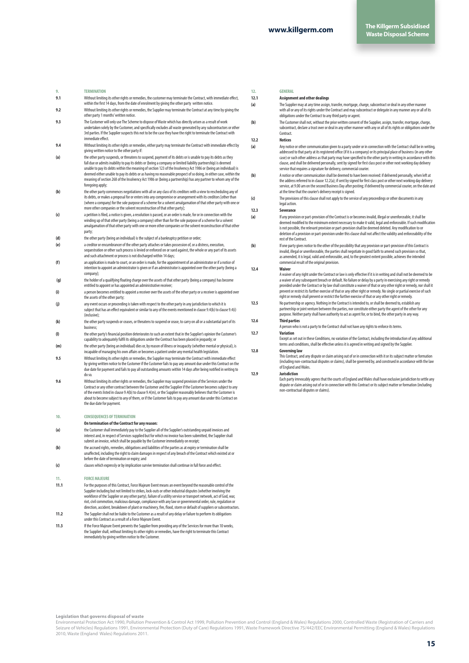## **9. TERMINATION**

- **9.1** Without limiting its other rights or remedies, the customer may terminate the Contract, with immediate effect, within the first 14 days, from the date of enrolment by giving the other party written notice
- **9.2** Without limiting its other rights or remedies, the Supplier may terminate the Contract at any time by giving the other party 1 months' written notice.
- **9.3** The Customer will only use The Scheme to dispose of Waste which has directly arisen as a result of work undertaken solely by the Customer, and specifically excludes all waste generated by any subcontractors or other<br>3rd parties. If the Supplier suspects this not to be the case they have the right to terminate the Contract wi immediate effect.
- **9.4** Without limiting its other rights or remedies, either party may terminate the Contract with immediate effect by giving written notice to the other party if:
- **(a)** the other party suspends, or threatens to suspend, payment of its debts or is unable to pay its debts as they fall due or admits inability to pay its debts or (being a company or limited liability partnership) is deemed unable to pay its debts within the meaning of section 123 of the Insolvency Act 1986 or (being an individual) is deemed either unable to pay its debts or as having no reasonable prospect of so doing, in either case, within the meaning of section 268 of the Insolvency Act 1986 or (being a partnership) has any partner to whom any of the foregoing apply;
- **(b)** the other party commences negotiations with all or any class of its creditors with a view to rescheduling any of its debts, or makes a proposal for or enters into any compromise or arrangement with its creditors [other than (where a company) for the sole purpose of a scheme for a solvent amalgamation of that other party with one or more other companies or the solvent reconstruction of that other party];
- **(c)** a petition is filed, a notice is given, a resolution is passed, or an order is made, for or in connection with the winding up of that other party (being a company) other than for the sole purpose of a scheme for a solvent amalgamation of that other party with one or more other companies or the solvent reconstruction of that other party;
- **(d)** the other party (being an individual) is the subject of a bankruptcy petition or order;
- (e) a creditor or encumbrancer of the other party attaches or takes possession of, or a distress, execution,<br>sequestration or other such process is levied or enforced on or sued against, the whole or any part of its assets and such attachment or process is not discharged within 14 days;
- an application is made to court, or an order is made, for the appointment of an administrator or if a notice of<br>intention to appoint an administrator is given or if an administrator is appointed over the other party (being company);
- **(g)** the holder of a qualifying floating charge over the assets of that other party (being a company) has become entitled to appoint or has appointed an administrative receiver;
- **(i)** a person becomes entitled to appoint a receiver over the assets of the other party or a receiver is appointed over the assets of the other party;
- **(j)** any event occurs or proceeding is taken with respect to the other party in any jurisdiction to which it is subject that has an effect equivalent or similar to any of the events mentioned in clause 9.4(b) to clause 9.4(i) (inclusive);
- **(k)** the other party suspends or ceases, or threatens to suspend or cease, to carry on all or a substantial part of its business;
- **(l)** the other party's financial position deteriorates to such an extent that in the Supplier's opinion the Customer's capability to adequately fulfil its obligations under the Contract has been placed in jeopardy; or
- **(m)** the other party (being an individual) dies or, by reason of illness or incapacity (whether mental or physical), is incapable of managing his own affairs or becomes a patient under any mental health legislation.
- **9.5** Without limiting its other rights or remedies, the Supplier may terminate the Contract with immediate effect by giving written notice to the Customer if the Customer fails to pay any amount due under this Contract on the due date for payment and fails to pay all outstanding amounts within 14 days after being notified in writing to do so.
- 9.6 Without limiting its other rights or remedies, the Supplier may suspend provision of the Services under the<br>Contract or any other contract between the Customer and the Supplier if the Customer becomes subject to any of the events listed in clause 9.4(b) to clause 9.4(m), or the Supplier reasonably believes that the Customer is about to become subject to any of them, or if the Customer fails to pay any amount due under this Contract on the due date for payment.

#### **10. CONSEQUENCES OF TERMINATION**

**On termination of the Contract for any reason:** 

- **(a)** the Customer shall immediately pay to the Supplier all of the Supplier's outstanding unpaid invoices and interest and, in respect of Services supplied but for which no invoice has been submitted, the Supplier shall submit an invoice, which shall be payable by the Customer immediately on receipt;
- **(b)** the accrued rights, remedies, obligations and liabilities of the parties as at expiry or termination shall be unaffected, including the right to claim damages in respect of any breach of the Contract which existed at or before the date of termination or expiry; and
- **(c)** clauses which expressly or by implication survive termination shall continue in full force and effect.

#### **11. FORCE MAJEURE**

- **11.1** For the purposes of this Contract, Force Majeure Event means an event beyond the reasonable control of the Supplier including but not limited to strikes, lock-outs or other industrial disputes (whether involving the workforce of the Supplier or any other party), failure of a utility service or transport network, act of God, war, riot, civil commotion, malicious damage, compliance with any law or governmental order, rule, regulation or direction, accident, breakdown of plant or machinery, fire, flood, storm or default of suppliers or subcontractors.
- **11.2** The Supplier shall not be liable to the Customer as a result of any delay or failure to perform its obligations under this Contract as a result of a Force Majeure Event.
- **11.3** If the Force Majeure Event prevents the Supplier from providing any of the Services for more than 10 weeks, the Supplier shall, without limiting its other rights or remedies, have the right to terminate this Contract immediately by giving written notice to the Customer.

#### **12. GENERAL**

#### **12.1 Assignment and other dealings**

- **(a)** The Supplier may at any time assign, transfer, mortgage, charge, subcontract or deal in any other manner with all or any of its rights under the Contract and may subcontract or delegate in any manner any or all of its obligations under the Contract to any third party or agent.
- **(b)** The Customer shall not, without the prior written consent of the Supplier, assign, transfer, mortgage, charge,<br>subcontract. declare a trust over or deal in any other manner with any or all of its rights or obligation subcontract, declare a trust over or deal in any other manner with any or all of its rights or obligations under the under the manner with any or all of its rights or obligations under the under the under the under the und **Contract**

#### **12.2 Notices**

- **(a)** Any notice or other communication given to a party under or in connection with the Contract shall be in writing, addressed to that party at its registered office (if it is a company) or its principal place of business (in any other case) or such other address as that party may have specified to the other party in writing in accordance with this clause, and shall be delivered personally, sent by signed for first class post or other next working day delivery service that requires a signature for delivery, commercial courier.
- **(b)** A notice or other communication shall be deemed to have been received: if delivered personally, when left at the address referred to in clause 12.2(a); if sent by signed for first class post or other next working day delivery<br>service, at 9.00 am on the second Business Day after posting; if delivered by commercial courier, on the at the time that the courier's delivery receipt is signed.
- **(c)** The provisions of this clause shall not apply to the service of any proceedings or other documents in any legal action.

#### **12.3 Severance**

- **(a)** If any provision or part-provision of the Contract is or becomes invalid, illegal or unenforceable, it shall be deemed modified to the minimum extent necessary to make it valid, legal and enforceable. If such modification is not possible, the relevant provision or part-provision shall be deemed deleted. Any modification to or deletion of a provision or part-provision under this clause shall not affect the validity and enforceability of the rest of the Contract.
- **(b)** If one party gives notice to the other of the possibility that any provision or part-provision of this Contract is invalid, illegal or unenforceable, the parties shall negotiate in good faith to amend such provision so that, as amended, it is legal, valid and enforceable, and, to the greatest extent possible, achieves the intended commercial result of the original provision.

#### **12.4 Waiver**

A waiver of any right under the Contract or law is only effective if it is in writing and shall not be deemed to be a waiver of any subsequent breach or default. No failure or delay by a party in exercising any right or remedy<br>provided under the Contract or by law shall constitute a waiver of that or any other right or remedy, nor shall prevent or restrict its further exercise of that or any other right or remedy. No single or partial exercise of such prevent or restrict its nuttier exercise or that or any other right or remedy. Wo single or partial ex<br>right or remedy shall prevent or restrict the further exercise of that or any other right or remedy.

**12.5** No partnership or agency. Nothing in the Contract is intended to, or shall be deemed to, establish any partnership or joint venture between the parties, nor constitute either party the agent of the other for any<br>purpose. Neither party shall have authority to act as agent for, or to bind, the other party in any way. **12.6 Third parties**

A person who is not a party to the Contract shall not have any rights to enforce its term

### **12.7 Variation**

Except as set out in these Conditions, no variation of the Contract, including the introduction of any additional terms and conditions, shall be effective unless it is agreed in writing and signed by the Supplier.

### **12.8 Governing law**

This Contract, and any dispute or claim arising out of or in connection with it or its subject matter or formation (including non-contractual disputes or claims), shall be governed by, and construed in accordance with the law of England and Wales.

#### **12.9 Jurisdiction**

Each party irrevocably agrees that the courts of England and Wales shall have exclusive jurisdiction to settle any dispute or claim arising out of or in connection with this Contract or its subject matter or formation (including non-contractual disputes or claims).

Environmental Protection Act 1990, Pollution Prevention & Control Act 1999, Pollution Prevention and Control (England & Wales) Regulations 2000, Controlled Waste (Registration of Carriers and Seizure of Vehicles) Regulations 1991, Environmental Protection (Duty of Care) Regulations 1991, Waste Framework Directive 75/442/EEC Environmental Permitting (England & Wales) Regulations 2010, Waste (England Wales) Regulations 2011.